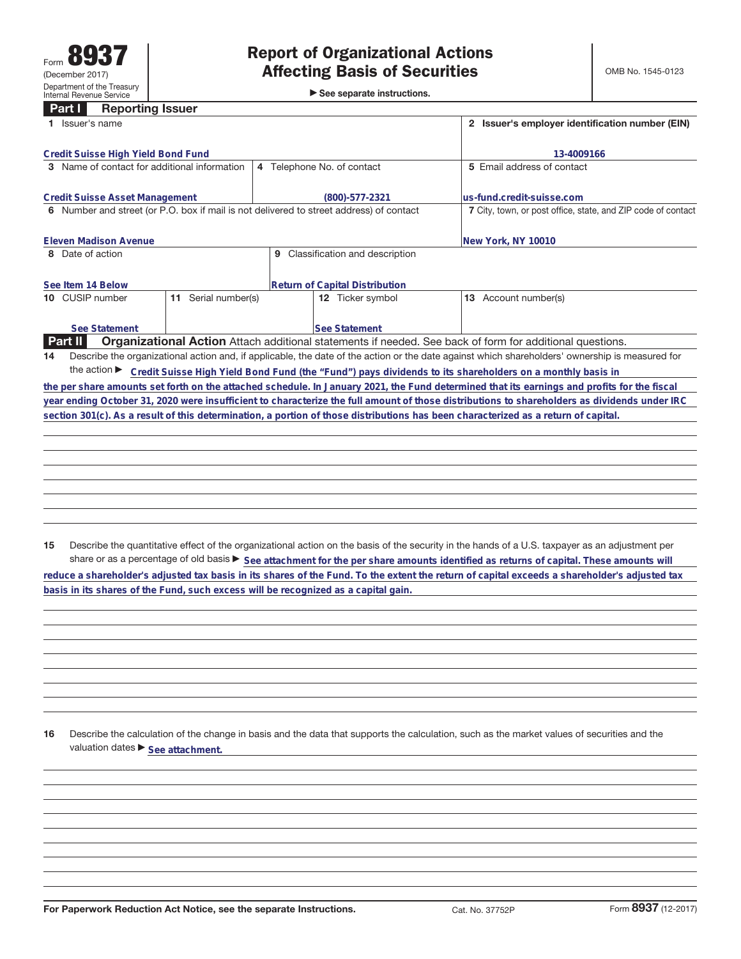►<br>► See separate instructions.

## **Part I Reporting Issuer**

| Issuer's name                                                                                                                      | 2 Issuer's employer identification number (EIN)                                                                 |                                                                                                                                                 |  |  |
|------------------------------------------------------------------------------------------------------------------------------------|-----------------------------------------------------------------------------------------------------------------|-------------------------------------------------------------------------------------------------------------------------------------------------|--|--|
| Credit Suisse High Yield Bond Fund                                                                                                 |                                                                                                                 | 13-4009166                                                                                                                                      |  |  |
| 3 Name of contact for additional information                                                                                       | 4 Telephone No. of contact                                                                                      | 5 Email address of contact                                                                                                                      |  |  |
| Credit Suisse Asset Management                                                                                                     | (800)-577-2321                                                                                                  | lus-fund.credit-suisse.com                                                                                                                      |  |  |
| 6 Number and street (or P.O. box if mail is not delivered to street address) of contact                                            | 7 City, town, or post office, state, and ZIP code of contact                                                    |                                                                                                                                                 |  |  |
| <b>Eleven Madison Avenue</b>                                                                                                       |                                                                                                                 | New York, NY 10010                                                                                                                              |  |  |
| 8 Date of action                                                                                                                   | Classification and description<br>9                                                                             |                                                                                                                                                 |  |  |
| See Item 14 Below                                                                                                                  | <b>Return of Capital Distribution</b>                                                                           |                                                                                                                                                 |  |  |
| Serial number(s)<br>10 CUSIP number<br>11                                                                                          | 12 Ticker symbol                                                                                                | Account number(s)<br>13                                                                                                                         |  |  |
| See Statement                                                                                                                      | <b>See Statement</b>                                                                                            |                                                                                                                                                 |  |  |
| <b>Part II</b>                                                                                                                     | <b>Organizational Action</b> Attach additional statements if needed. See back of form for additional questions. |                                                                                                                                                 |  |  |
| 14                                                                                                                                 |                                                                                                                 | Describe the organizational action and, if applicable, the date of the action or the date against which shareholders' ownership is measured for |  |  |
| the action $\blacktriangleright$                                                                                                   | Credit Suisse High Yield Bond Fund (the "Fund") pays dividends to its shareholders on a monthly basis in        |                                                                                                                                                 |  |  |
|                                                                                                                                    |                                                                                                                 | the per share amounts set forth on the attached schedule. In January 2021, the Fund determined that its earnings and profits for the fiscal     |  |  |
|                                                                                                                                    |                                                                                                                 | year ending October 31, 2020 were insufficient to characterize the full amount of those distributions to shareholders as dividends under IRC    |  |  |
| section 301(c). As a result of this determination, a portion of those distributions has been characterized as a return of capital. |                                                                                                                 |                                                                                                                                                 |  |  |

**15** Describe the quantitative effect of the organizational action on the basis of the security in the hands of a U.S. taxpayer as an adjustment per share or as a percentage of old basis  $\blacktriangleright$  See attachment for the per share amounts identified as returns of capital. These amounts will **reduce a shareholder's adjusted tax basis in its shares of the Fund. To the extent the return of capital exceeds a shareholder's adjusted tax basis in its shares of the Fund, such excess will be recognized as a capital gain.**

**16** Describe the calculation of the change in basis and the data that supports the calculation, such as the market values of securities and the valuation dates  $\blacktriangleright$  **See attachment.**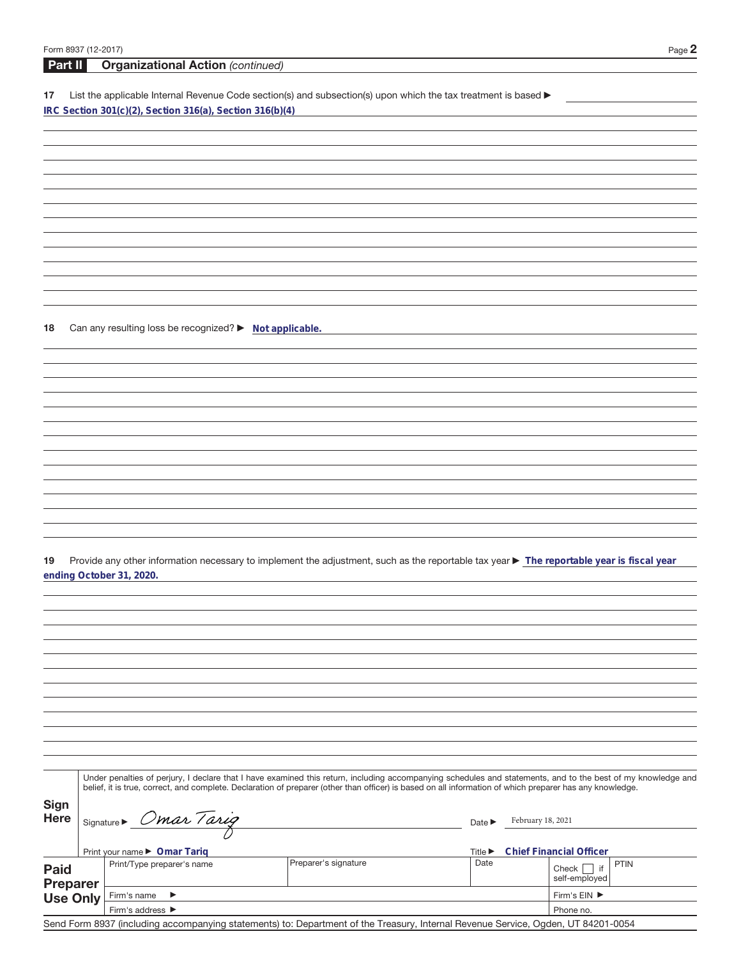17 List the applicable Internal Revenue Code section(s) and subsection(s) upon which the tax treatment is based **IRC Section 301(c)(2), Section 316(a), Section 316(b)(4)**

**18** Can any resulting loss be recognized? ▶ Not applicable.

**Part II Organizational Action** (continued)

19 Provide any other information necessary to implement the adjustment, such as the reportable tax year > The reportable year is fiscal year **ending October 31, 2020.**

|                         | Under penalties of perjury, I declare that I have examined this return, including accompanying schedules and statements, and to the best of my knowledge and<br>belief, it is true, correct, and complete. Declaration of preparer (other than officer) is based on all information of which preparer has any knowledge. |                      |                                                               |                   |                                    |             |  |
|-------------------------|--------------------------------------------------------------------------------------------------------------------------------------------------------------------------------------------------------------------------------------------------------------------------------------------------------------------------|----------------------|---------------------------------------------------------------|-------------------|------------------------------------|-------------|--|
| Sign<br><b>Here</b>     | Signature > Omar Tarig                                                                                                                                                                                                                                                                                                   |                      | Date $\blacktriangleright$                                    | February 18, 2021 |                                    |             |  |
|                         | Print your name ▶ Omar Tariq                                                                                                                                                                                                                                                                                             |                      | <b>Chief Financial Officer</b><br>Title $\blacktriangleright$ |                   |                                    |             |  |
| <b>Paid</b><br>Preparer | Print/Type preparer's name                                                                                                                                                                                                                                                                                               | Preparer's signature | Date                                                          |                   | if<br>Check  <br>self-emploved     | <b>PTIN</b> |  |
| Use Only                | Firm's name<br>$\rightarrow$                                                                                                                                                                                                                                                                                             |                      |                                                               |                   | Firm's $EIN$ $\blacktriangleright$ |             |  |
|                         | Firm's address $\blacktriangleright$                                                                                                                                                                                                                                                                                     |                      |                                                               |                   |                                    | Phone no.   |  |

Send Form 8937 (including accompanying statements) to: Department of the Treasury, Internal Revenue Service, Ogden, UT 84201-0054

 $\overline{\phantom{a}}$